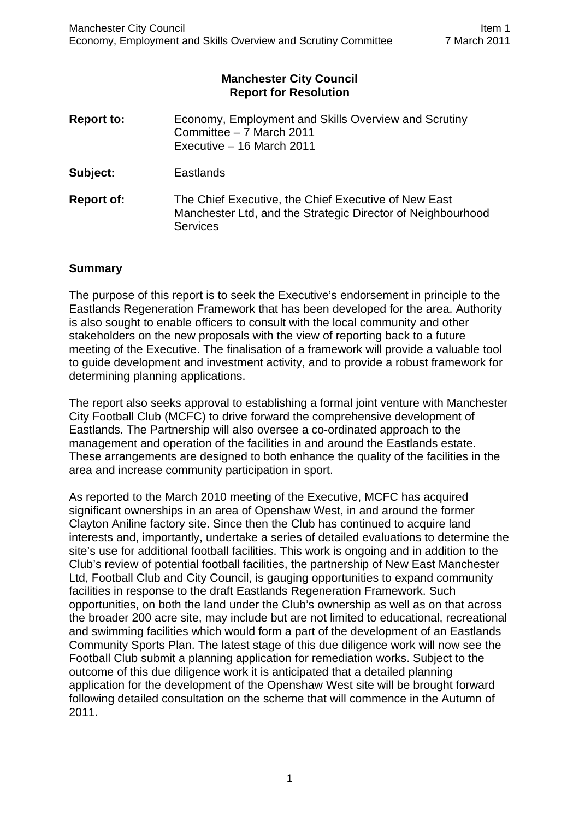## **Manchester City Council Report for Resolution**

| <b>Report to:</b> | Economy, Employment and Skills Overview and Scrutiny<br>Committee - 7 March 2011<br>Executive - 16 March 2011                          |
|-------------------|----------------------------------------------------------------------------------------------------------------------------------------|
| Subject:          | <b>Eastlands</b>                                                                                                                       |
| <b>Report of:</b> | The Chief Executive, the Chief Executive of New East<br>Manchester Ltd, and the Strategic Director of Neighbourhood<br><b>Services</b> |

#### **Summary**

The purpose of this report is to seek the Executive's endorsement in principle to the Eastlands Regeneration Framework that has been developed for the area. Authority is also sought to enable officers to consult with the local community and other stakeholders on the new proposals with the view of reporting back to a future meeting of the Executive. The finalisation of a framework will provide a valuable tool to guide development and investment activity, and to provide a robust framework for determining planning applications.

The report also seeks approval to establishing a formal joint venture with Manchester City Football Club (MCFC) to drive forward the comprehensive development of Eastlands. The Partnership will also oversee a co-ordinated approach to the management and operation of the facilities in and around the Eastlands estate. These arrangements are designed to both enhance the quality of the facilities in the area and increase community participation in sport.

As reported to the March 2010 meeting of the Executive, MCFC has acquired significant ownerships in an area of Openshaw West, in and around the former Clayton Aniline factory site. Since then the Club has continued to acquire land interests and, importantly, undertake a series of detailed evaluations to determine the site's use for additional football facilities. This work is ongoing and in addition to the Club's review of potential football facilities, the partnership of New East Manchester Ltd, Football Club and City Council, is gauging opportunities to expand community facilities in response to the draft Eastlands Regeneration Framework. Such opportunities, on both the land under the Club's ownership as well as on that across the broader 200 acre site, may include but are not limited to educational, recreational and swimming facilities which would form a part of the development of an Eastlands Community Sports Plan. The latest stage of this due diligence work will now see the Football Club submit a planning application for remediation works. Subject to the outcome of this due diligence work it is anticipated that a detailed planning application for the development of the Openshaw West site will be brought forward following detailed consultation on the scheme that will commence in the Autumn of 2011.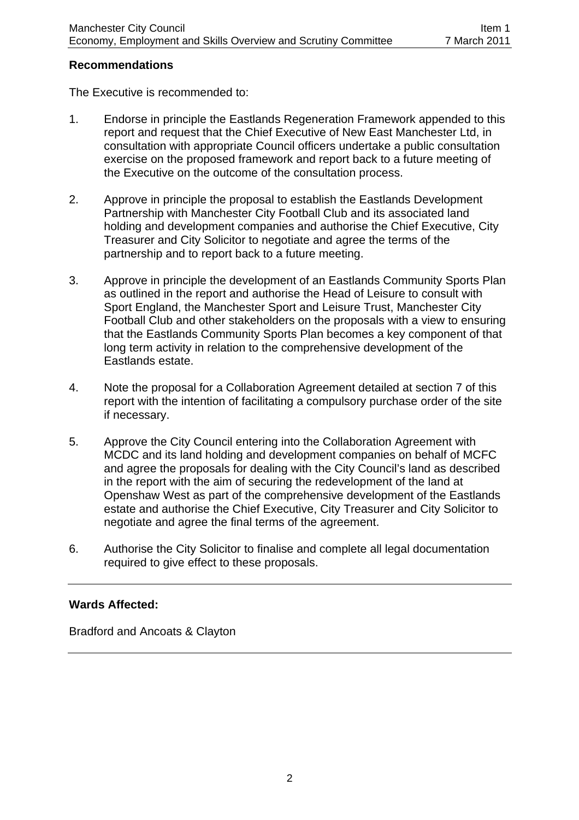#### **Recommendations**

The Executive is recommended to:

- 1. Endorse in principle the Eastlands Regeneration Framework appended to this report and request that the Chief Executive of New East Manchester Ltd, in consultation with appropriate Council officers undertake a public consultation exercise on the proposed framework and report back to a future meeting of the Executive on the outcome of the consultation process.
- 2. Approve in principle the proposal to establish the Eastlands Development Partnership with Manchester City Football Club and its associated land holding and development companies and authorise the Chief Executive, City Treasurer and City Solicitor to negotiate and agree the terms of the partnership and to report back to a future meeting.
- 3. Approve in principle the development of an Eastlands Community Sports Plan as outlined in the report and authorise the Head of Leisure to consult with Sport England, the Manchester Sport and Leisure Trust, Manchester City Football Club and other stakeholders on the proposals with a view to ensuring that the Eastlands Community Sports Plan becomes a key component of that long term activity in relation to the comprehensive development of the Eastlands estate.
- 4. Note the proposal for a Collaboration Agreement detailed at section 7 of this report with the intention of facilitating a compulsory purchase order of the site if necessary.
- 5. Approve the City Council entering into the Collaboration Agreement with MCDC and its land holding and development companies on behalf of MCFC and agree the proposals for dealing with the City Council's land as described in the report with the aim of securing the redevelopment of the land at Openshaw West as part of the comprehensive development of the Eastlands estate and authorise the Chief Executive, City Treasurer and City Solicitor to negotiate and agree the final terms of the agreement.
- 6. Authorise the City Solicitor to finalise and complete all legal documentation required to give effect to these proposals.

#### **Wards Affected:**

Bradford and Ancoats & Clayton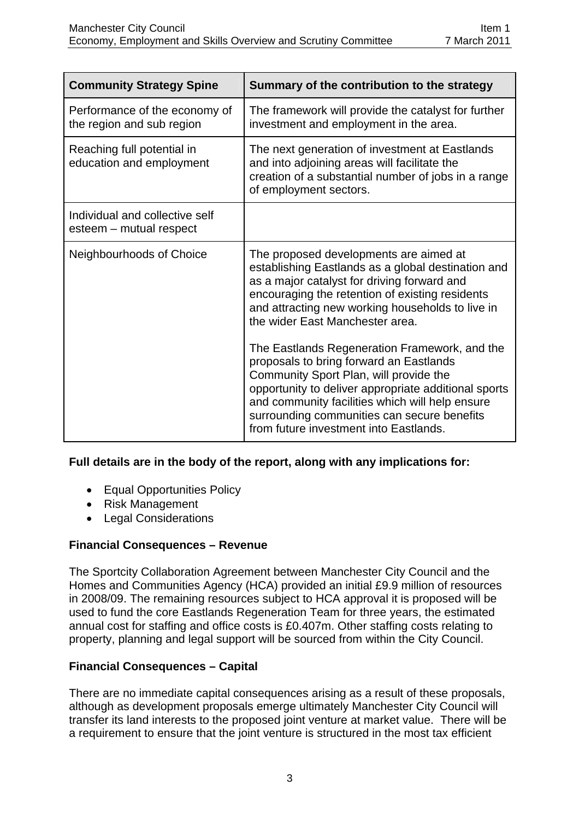| <b>Community Strategy Spine</b>                            | Summary of the contribution to the strategy                                                                                                                                                                                                                                                                                            |
|------------------------------------------------------------|----------------------------------------------------------------------------------------------------------------------------------------------------------------------------------------------------------------------------------------------------------------------------------------------------------------------------------------|
| Performance of the economy of<br>the region and sub region | The framework will provide the catalyst for further<br>investment and employment in the area.                                                                                                                                                                                                                                          |
| Reaching full potential in<br>education and employment     | The next generation of investment at Eastlands<br>and into adjoining areas will facilitate the<br>creation of a substantial number of jobs in a range<br>of employment sectors.                                                                                                                                                        |
| Individual and collective self<br>esteem - mutual respect  |                                                                                                                                                                                                                                                                                                                                        |
| Neighbourhoods of Choice                                   | The proposed developments are aimed at<br>establishing Eastlands as a global destination and<br>as a major catalyst for driving forward and<br>encouraging the retention of existing residents<br>and attracting new working households to live in<br>the wider East Manchester area.                                                  |
|                                                            | The Eastlands Regeneration Framework, and the<br>proposals to bring forward an Eastlands<br>Community Sport Plan, will provide the<br>opportunity to deliver appropriate additional sports<br>and community facilities which will help ensure<br>surrounding communities can secure benefits<br>from future investment into Eastlands. |

## **Full details are in the body of the report, along with any implications for:**

- Equal Opportunities Policy
- Risk Management
- Legal Considerations

## **Financial Consequences – Revenue**

The Sportcity Collaboration Agreement between Manchester City Council and the Homes and Communities Agency (HCA) provided an initial £9.9 million of resources in 2008/09. The remaining resources subject to HCA approval it is proposed will be used to fund the core Eastlands Regeneration Team for three years, the estimated annual cost for staffing and office costs is £0.407m. Other staffing costs relating to property, planning and legal support will be sourced from within the City Council.

# **Financial Consequences – Capital**

There are no immediate capital consequences arising as a result of these proposals, although as development proposals emerge ultimately Manchester City Council will transfer its land interests to the proposed joint venture at market value. There will be a requirement to ensure that the joint venture is structured in the most tax efficient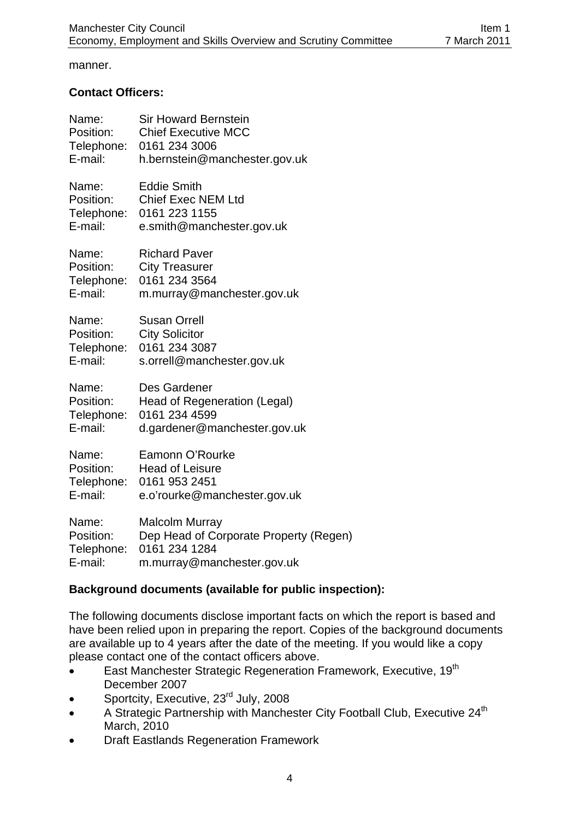manner.

#### **Contact Officers:**

| Name:      | <b>Sir Howard Bernstein</b>            |
|------------|----------------------------------------|
| Position:  | <b>Chief Executive MCC</b>             |
| Telephone: | 0161 234 3006                          |
| E-mail:    | h.bernstein@manchester.gov.uk          |
| Name:      | <b>Eddie Smith</b>                     |
| Position:  | <b>Chief Exec NEM Ltd</b>              |
| Telephone: | 0161 223 1155                          |
| E-mail:    | e.smith@manchester.gov.uk              |
| Name:      | <b>Richard Paver</b>                   |
| Position:  | <b>City Treasurer</b>                  |
| Telephone: | 0161 234 3564                          |
| E-mail:    | m.murray@manchester.gov.uk             |
| Name:      | <b>Susan Orrell</b>                    |
| Position:  | <b>City Solicitor</b>                  |
| Telephone: | 0161 234 3087                          |
| E-mail:    | s.orrell@manchester.gov.uk             |
| Name:      | Des Gardener                           |
| Position:  | Head of Regeneration (Legal)           |
| Telephone: | 0161 234 4599                          |
| E-mail:    | d.gardener@manchester.gov.uk           |
| Name:      | Eamonn O'Rourke                        |
| Position:  | <b>Head of Leisure</b>                 |
| Telephone: | 0161 953 2451                          |
| E-mail:    | e.o'rourke@manchester.gov.uk           |
| Name:      | <b>Malcolm Murray</b>                  |
| Position:  | Dep Head of Corporate Property (Regen) |
| Telephone: | 0161 234 1284                          |
| E-mail:    | m.murray@manchester.gov.uk             |

## **Background documents (available for public inspection):**

The following documents disclose important facts on which the report is based and have been relied upon in preparing the report. Copies of the background documents are available up to 4 years after the date of the meeting. If you would like a copy please contact one of the contact officers above.

- **East Manchester Strategic Regeneration Framework, Executive, 19th** December 2007
- Sportcity, Executive, 23<sup>rd</sup> July, 2008
- A Strategic Partnership with Manchester City Football Club, Executive 24<sup>th</sup> March, 2010
- Draft Eastlands Regeneration Framework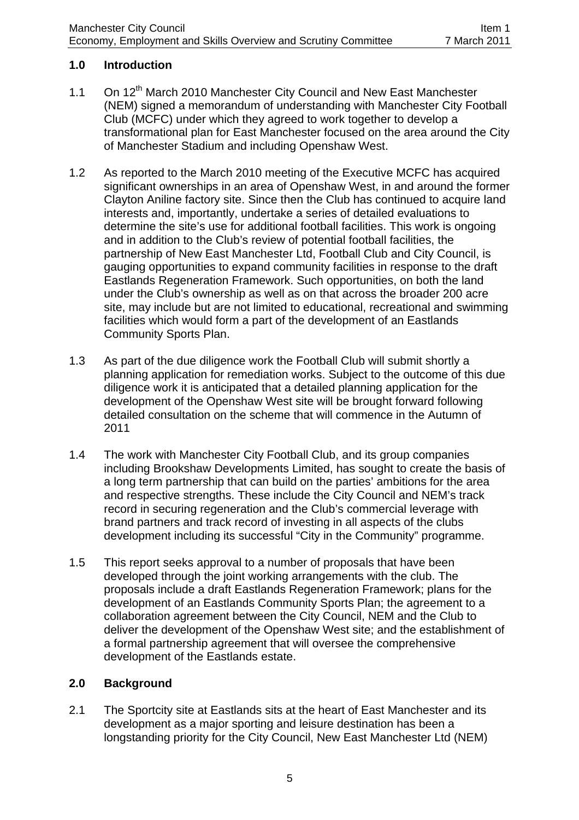## **1.0 Introduction**

- 1.1 On 12<sup>th</sup> March 2010 Manchester City Council and New East Manchester (NEM) signed a memorandum of understanding with Manchester City Football Club (MCFC) under which they agreed to work together to develop a transformational plan for East Manchester focused on the area around the City of Manchester Stadium and including Openshaw West.
- 1.2 As reported to the March 2010 meeting of the Executive MCFC has acquired significant ownerships in an area of Openshaw West, in and around the former Clayton Aniline factory site. Since then the Club has continued to acquire land interests and, importantly, undertake a series of detailed evaluations to determine the site's use for additional football facilities. This work is ongoing and in addition to the Club's review of potential football facilities, the partnership of New East Manchester Ltd, Football Club and City Council, is gauging opportunities to expand community facilities in response to the draft Eastlands Regeneration Framework. Such opportunities, on both the land under the Club's ownership as well as on that across the broader 200 acre site, may include but are not limited to educational, recreational and swimming facilities which would form a part of the development of an Eastlands Community Sports Plan.
- 1.3 As part of the due diligence work the Football Club will submit shortly a planning application for remediation works. Subject to the outcome of this due diligence work it is anticipated that a detailed planning application for the development of the Openshaw West site will be brought forward following detailed consultation on the scheme that will commence in the Autumn of 2011
- 1.4 The work with Manchester City Football Club, and its group companies including Brookshaw Developments Limited, has sought to create the basis of a long term partnership that can build on the parties' ambitions for the area and respective strengths. These include the City Council and NEM's track record in securing regeneration and the Club's commercial leverage with brand partners and track record of investing in all aspects of the clubs development including its successful "City in the Community" programme.
- 1.5 This report seeks approval to a number of proposals that have been developed through the joint working arrangements with the club. The proposals include a draft Eastlands Regeneration Framework; plans for the development of an Eastlands Community Sports Plan; the agreement to a collaboration agreement between the City Council, NEM and the Club to deliver the development of the Openshaw West site; and the establishment of a formal partnership agreement that will oversee the comprehensive development of the Eastlands estate.

#### **2.0 Background**

2.1 The Sportcity site at Eastlands sits at the heart of East Manchester and its development as a major sporting and leisure destination has been a longstanding priority for the City Council, New East Manchester Ltd (NEM)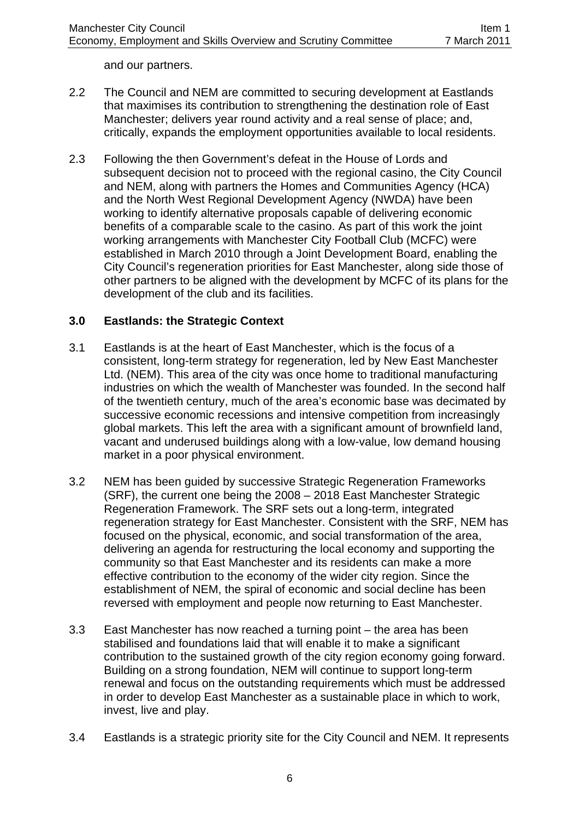and our partners.

- 2.2 The Council and NEM are committed to securing development at Eastlands that maximises its contribution to strengthening the destination role of East Manchester; delivers year round activity and a real sense of place; and, critically, expands the employment opportunities available to local residents.
- 2.3 Following the then Government's defeat in the House of Lords and subsequent decision not to proceed with the regional casino, the City Council and NEM, along with partners the Homes and Communities Agency (HCA) and the North West Regional Development Agency (NWDA) have been working to identify alternative proposals capable of delivering economic benefits of a comparable scale to the casino. As part of this work the joint working arrangements with Manchester City Football Club (MCFC) were established in March 2010 through a Joint Development Board, enabling the City Council's regeneration priorities for East Manchester, along side those of other partners to be aligned with the development by MCFC of its plans for the development of the club and its facilities.

### **3.0 Eastlands: the Strategic Context**

- 3.1 Eastlands is at the heart of East Manchester, which is the focus of a consistent, long-term strategy for regeneration, led by New East Manchester Ltd. (NEM). This area of the city was once home to traditional manufacturing industries on which the wealth of Manchester was founded. In the second half of the twentieth century, much of the area's economic base was decimated by successive economic recessions and intensive competition from increasingly global markets. This left the area with a significant amount of brownfield land, vacant and underused buildings along with a low-value, low demand housing market in a poor physical environment.
- 3.2 NEM has been guided by successive Strategic Regeneration Frameworks (SRF), the current one being the 2008 – 2018 East Manchester Strategic Regeneration Framework. The SRF sets out a long-term, integrated regeneration strategy for East Manchester. Consistent with the SRF, NEM has focused on the physical, economic, and social transformation of the area, delivering an agenda for restructuring the local economy and supporting the community so that East Manchester and its residents can make a more effective contribution to the economy of the wider city region. Since the establishment of NEM, the spiral of economic and social decline has been reversed with employment and people now returning to East Manchester.
- 3.3 East Manchester has now reached a turning point the area has been stabilised and foundations laid that will enable it to make a significant contribution to the sustained growth of the city region economy going forward. Building on a strong foundation, NEM will continue to support long-term renewal and focus on the outstanding requirements which must be addressed in order to develop East Manchester as a sustainable place in which to work, invest, live and play.
- 3.4 Eastlands is a strategic priority site for the City Council and NEM. It represents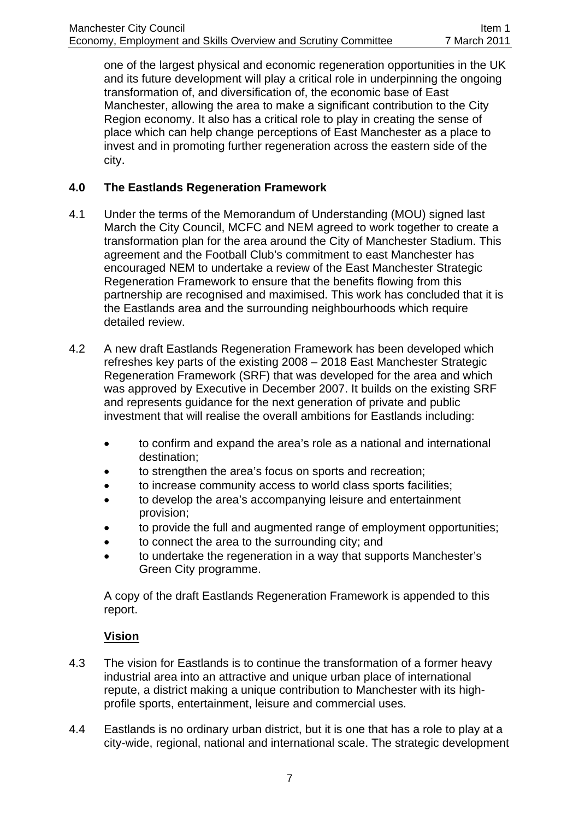one of the largest physical and economic regeneration opportunities in the UK and its future development will play a critical role in underpinning the ongoing transformation of, and diversification of, the economic base of East Manchester, allowing the area to make a significant contribution to the City Region economy. It also has a critical role to play in creating the sense of place which can help change perceptions of East Manchester as a place to invest and in promoting further regeneration across the eastern side of the city.

## **4.0 The Eastlands Regeneration Framework**

- 4.1 Under the terms of the Memorandum of Understanding (MOU) signed last March the City Council, MCFC and NEM agreed to work together to create a transformation plan for the area around the City of Manchester Stadium. This agreement and the Football Club's commitment to east Manchester has encouraged NEM to undertake a review of the East Manchester Strategic Regeneration Framework to ensure that the benefits flowing from this partnership are recognised and maximised. This work has concluded that it is the Eastlands area and the surrounding neighbourhoods which require detailed review.
- 4.2 A new draft Eastlands Regeneration Framework has been developed which refreshes key parts of the existing 2008 – 2018 East Manchester Strategic Regeneration Framework (SRF) that was developed for the area and which was approved by Executive in December 2007. It builds on the existing SRF and represents guidance for the next generation of private and public investment that will realise the overall ambitions for Eastlands including:
	- to confirm and expand the area's role as a national and international destination;
	- to strengthen the area's focus on sports and recreation;
	- to increase community access to world class sports facilities;
	- to develop the area's accompanying leisure and entertainment provision;
	- to provide the full and augmented range of employment opportunities;
	- to connect the area to the surrounding city; and
	- to undertake the regeneration in a way that supports Manchester's Green City programme.

A copy of the draft Eastlands Regeneration Framework is appended to this report.

# **Vision**

- 4.3 The vision for Eastlands is to continue the transformation of a former heavy industrial area into an attractive and unique urban place of international repute, a district making a unique contribution to Manchester with its highprofile sports, entertainment, leisure and commercial uses.
- 4.4 Eastlands is no ordinary urban district, but it is one that has a role to play at a city-wide, regional, national and international scale. The strategic development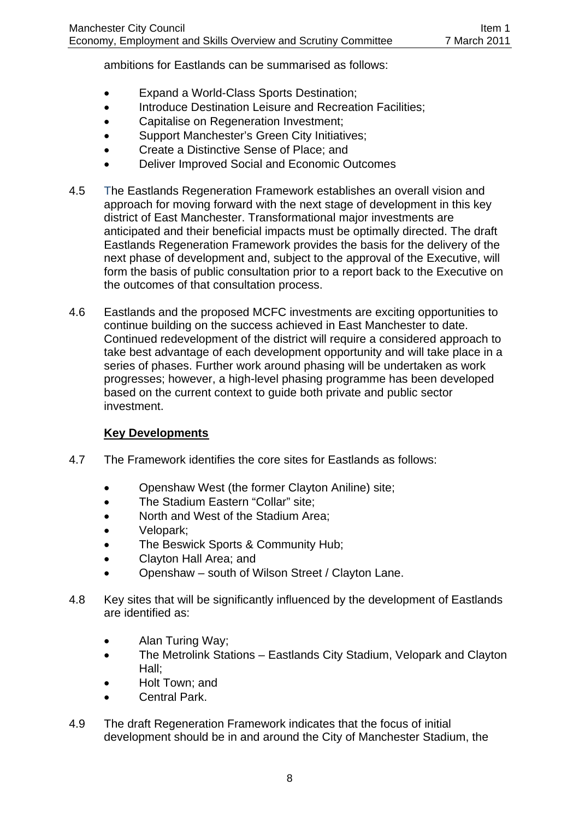ambitions for Eastlands can be summarised as follows:

- Expand a World-Class Sports Destination;
- Introduce Destination Leisure and Recreation Facilities;
- Capitalise on Regeneration Investment;
- Support Manchester's Green City Initiatives:
- Create a Distinctive Sense of Place: and
- Deliver Improved Social and Economic Outcomes
- 4.5 The Eastlands Regeneration Framework establishes an overall vision and approach for moving forward with the next stage of development in this key district of East Manchester. Transformational major investments are anticipated and their beneficial impacts must be optimally directed. The draft Eastlands Regeneration Framework provides the basis for the delivery of the next phase of development and, subject to the approval of the Executive, will form the basis of public consultation prior to a report back to the Executive on the outcomes of that consultation process.
- 4.6 Eastlands and the proposed MCFC investments are exciting opportunities to continue building on the success achieved in East Manchester to date. Continued redevelopment of the district will require a considered approach to take best advantage of each development opportunity and will take place in a series of phases. Further work around phasing will be undertaken as work progresses; however, a high-level phasing programme has been developed based on the current context to guide both private and public sector investment.

## **Key Developments**

- 4.7 The Framework identifies the core sites for Eastlands as follows:
	- Openshaw West (the former Clayton Aniline) site;
	- The Stadium Eastern "Collar" site;
	- North and West of the Stadium Area;
	- Velopark;
	- The Beswick Sports & Community Hub;
	- Clayton Hall Area; and
	- Openshaw south of Wilson Street / Clayton Lane.
- 4.8 Key sites that will be significantly influenced by the development of Eastlands are identified as:
	- Alan Turing Way;
	- The Metrolink Stations Eastlands City Stadium, Velopark and Clayton Hall;
	- Holt Town; and
	- Central Park.
- 4.9 The draft Regeneration Framework indicates that the focus of initial development should be in and around the City of Manchester Stadium, the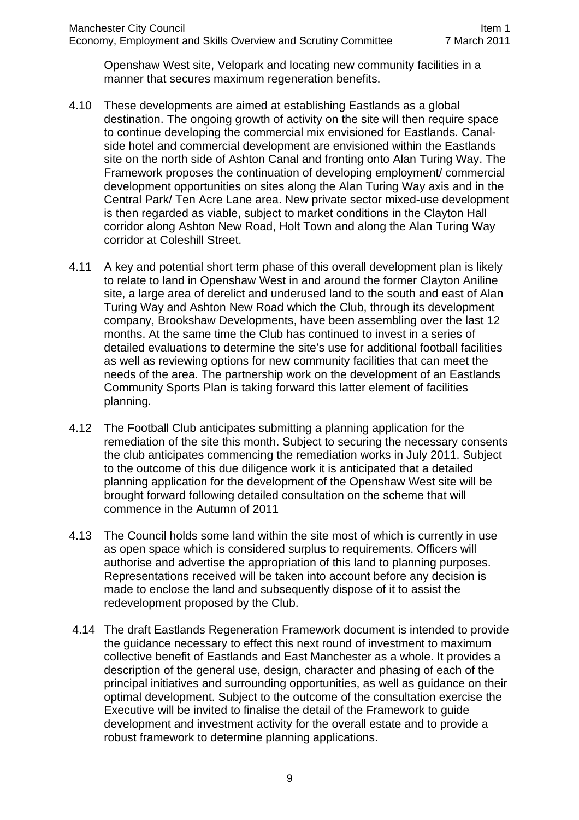Openshaw West site, Velopark and locating new community facilities in a manner that secures maximum regeneration benefits.

- 4.10 These developments are aimed at establishing Eastlands as a global destination. The ongoing growth of activity on the site will then require space to continue developing the commercial mix envisioned for Eastlands. Canalside hotel and commercial development are envisioned within the Eastlands site on the north side of Ashton Canal and fronting onto Alan Turing Way. The Framework proposes the continuation of developing employment/ commercial development opportunities on sites along the Alan Turing Way axis and in the Central Park/ Ten Acre Lane area. New private sector mixed-use development is then regarded as viable, subject to market conditions in the Clayton Hall corridor along Ashton New Road, Holt Town and along the Alan Turing Way corridor at Coleshill Street.
- 4.11 A key and potential short term phase of this overall development plan is likely to relate to land in Openshaw West in and around the former Clayton Aniline site, a large area of derelict and underused land to the south and east of Alan Turing Way and Ashton New Road which the Club, through its development company, Brookshaw Developments, have been assembling over the last 12 months. At the same time the Club has continued to invest in a series of detailed evaluations to determine the site's use for additional football facilities as well as reviewing options for new community facilities that can meet the needs of the area. The partnership work on the development of an Eastlands Community Sports Plan is taking forward this latter element of facilities planning.
- 4.12 The Football Club anticipates submitting a planning application for the remediation of the site this month. Subject to securing the necessary consents the club anticipates commencing the remediation works in July 2011. Subject to the outcome of this due diligence work it is anticipated that a detailed planning application for the development of the Openshaw West site will be brought forward following detailed consultation on the scheme that will commence in the Autumn of 2011
- 4.13 The Council holds some land within the site most of which is currently in use as open space which is considered surplus to requirements. Officers will authorise and advertise the appropriation of this land to planning purposes. Representations received will be taken into account before any decision is made to enclose the land and subsequently dispose of it to assist the redevelopment proposed by the Club.
- 4.14 The draft Eastlands Regeneration Framework document is intended to provide the guidance necessary to effect this next round of investment to maximum collective benefit of Eastlands and East Manchester as a whole. It provides a description of the general use, design, character and phasing of each of the principal initiatives and surrounding opportunities, as well as guidance on their optimal development. Subject to the outcome of the consultation exercise the Executive will be invited to finalise the detail of the Framework to guide development and investment activity for the overall estate and to provide a robust framework to determine planning applications.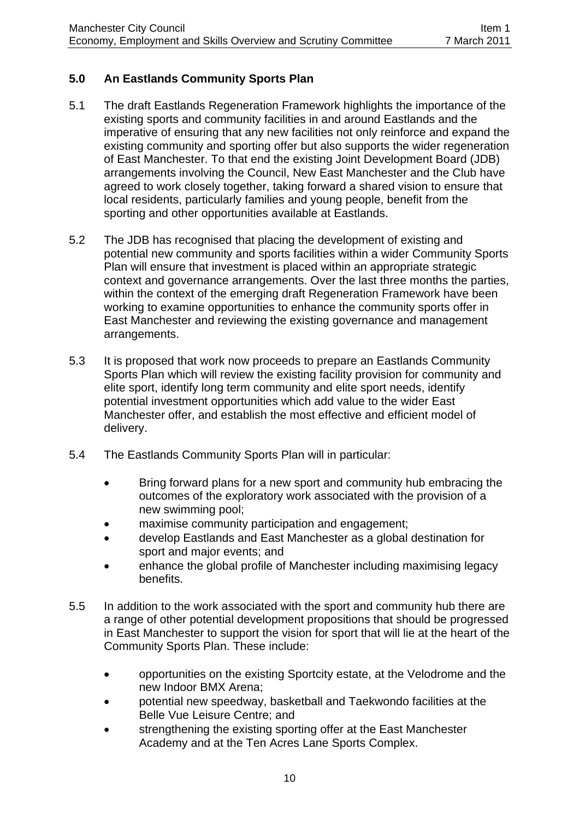## **5.0 An Eastlands Community Sports Plan**

- 5.1 The draft Eastlands Regeneration Framework highlights the importance of the existing sports and community facilities in and around Eastlands and the imperative of ensuring that any new facilities not only reinforce and expand the existing community and sporting offer but also supports the wider regeneration of East Manchester. To that end the existing Joint Development Board (JDB) arrangements involving the Council, New East Manchester and the Club have agreed to work closely together, taking forward a shared vision to ensure that local residents, particularly families and young people, benefit from the sporting and other opportunities available at Eastlands.
- 5.2 The JDB has recognised that placing the development of existing and potential new community and sports facilities within a wider Community Sports Plan will ensure that investment is placed within an appropriate strategic context and governance arrangements. Over the last three months the parties, within the context of the emerging draft Regeneration Framework have been working to examine opportunities to enhance the community sports offer in East Manchester and reviewing the existing governance and management arrangements.
- 5.3 It is proposed that work now proceeds to prepare an Eastlands Community Sports Plan which will review the existing facility provision for community and elite sport, identify long term community and elite sport needs, identify potential investment opportunities which add value to the wider East Manchester offer, and establish the most effective and efficient model of delivery.
- 5.4 The Eastlands Community Sports Plan will in particular:
	- Bring forward plans for a new sport and community hub embracing the outcomes of the exploratory work associated with the provision of a new swimming pool;
	- maximise community participation and engagement;
	- develop Eastlands and East Manchester as a global destination for sport and major events; and
	- enhance the global profile of Manchester including maximising legacy benefits.
- 5.5 In addition to the work associated with the sport and community hub there are a range of other potential development propositions that should be progressed in East Manchester to support the vision for sport that will lie at the heart of the Community Sports Plan. These include:
	- opportunities on the existing Sportcity estate, at the Velodrome and the new Indoor BMX Arena;
	- potential new speedway, basketball and Taekwondo facilities at the Belle Vue Leisure Centre; and
	- strengthening the existing sporting offer at the East Manchester Academy and at the Ten Acres Lane Sports Complex.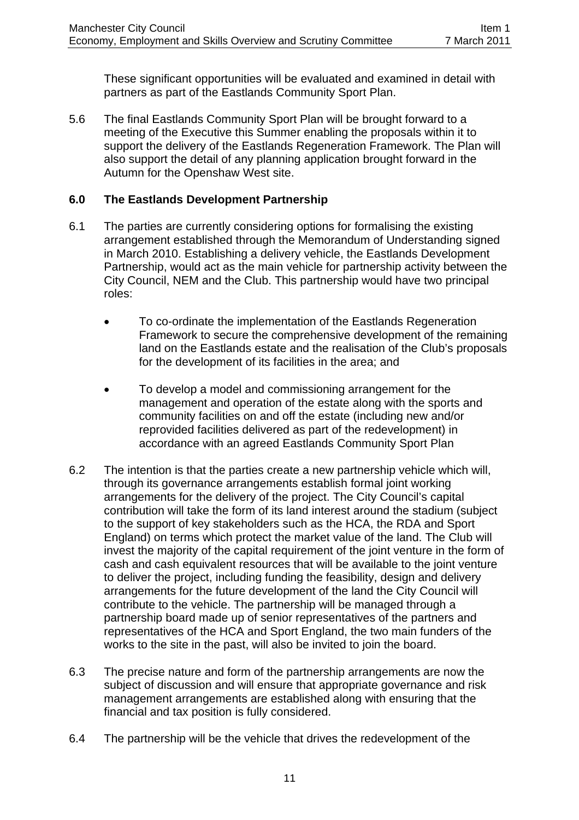These significant opportunities will be evaluated and examined in detail with partners as part of the Eastlands Community Sport Plan.

5.6 The final Eastlands Community Sport Plan will be brought forward to a meeting of the Executive this Summer enabling the proposals within it to support the delivery of the Eastlands Regeneration Framework. The Plan will also support the detail of any planning application brought forward in the Autumn for the Openshaw West site.

# **6.0 The Eastlands Development Partnership**

- 6.1 The parties are currently considering options for formalising the existing arrangement established through the Memorandum of Understanding signed in March 2010. Establishing a delivery vehicle, the Eastlands Development Partnership, would act as the main vehicle for partnership activity between the City Council, NEM and the Club. This partnership would have two principal roles:
	- To co-ordinate the implementation of the Eastlands Regeneration Framework to secure the comprehensive development of the remaining land on the Eastlands estate and the realisation of the Club's proposals for the development of its facilities in the area; and
	- To develop a model and commissioning arrangement for the management and operation of the estate along with the sports and community facilities on and off the estate (including new and/or reprovided facilities delivered as part of the redevelopment) in accordance with an agreed Eastlands Community Sport Plan
- 6.2 The intention is that the parties create a new partnership vehicle which will, through its governance arrangements establish formal joint working arrangements for the delivery of the project. The City Council's capital contribution will take the form of its land interest around the stadium (subject to the support of key stakeholders such as the HCA, the RDA and Sport England) on terms which protect the market value of the land. The Club will invest the majority of the capital requirement of the joint venture in the form of cash and cash equivalent resources that will be available to the joint venture to deliver the project, including funding the feasibility, design and delivery arrangements for the future development of the land the City Council will contribute to the vehicle. The partnership will be managed through a partnership board made up of senior representatives of the partners and representatives of the HCA and Sport England, the two main funders of the works to the site in the past, will also be invited to join the board.
- 6.3 The precise nature and form of the partnership arrangements are now the subject of discussion and will ensure that appropriate governance and risk management arrangements are established along with ensuring that the financial and tax position is fully considered.
- 6.4 The partnership will be the vehicle that drives the redevelopment of the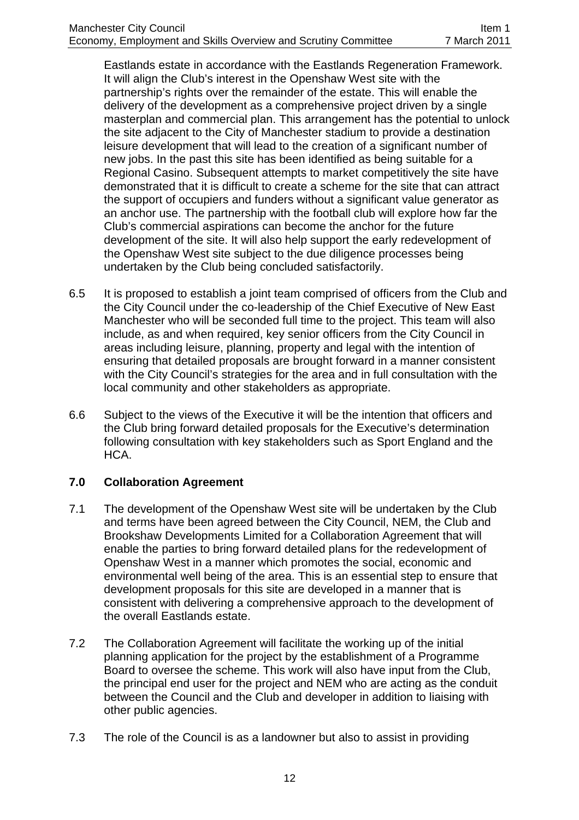Eastlands estate in accordance with the Eastlands Regeneration Framework. It will align the Club's interest in the Openshaw West site with the partnership's rights over the remainder of the estate. This will enable the delivery of the development as a comprehensive project driven by a single masterplan and commercial plan. This arrangement has the potential to unlock the site adjacent to the City of Manchester stadium to provide a destination leisure development that will lead to the creation of a significant number of new jobs. In the past this site has been identified as being suitable for a Regional Casino. Subsequent attempts to market competitively the site have demonstrated that it is difficult to create a scheme for the site that can attract the support of occupiers and funders without a significant value generator as an anchor use. The partnership with the football club will explore how far the Club's commercial aspirations can become the anchor for the future development of the site. It will also help support the early redevelopment of the Openshaw West site subject to the due diligence processes being undertaken by the Club being concluded satisfactorily.

- 6.5 It is proposed to establish a joint team comprised of officers from the Club and the City Council under the co-leadership of the Chief Executive of New East Manchester who will be seconded full time to the project. This team will also include, as and when required, key senior officers from the City Council in areas including leisure, planning, property and legal with the intention of ensuring that detailed proposals are brought forward in a manner consistent with the City Council's strategies for the area and in full consultation with the local community and other stakeholders as appropriate.
- 6.6 Subject to the views of the Executive it will be the intention that officers and the Club bring forward detailed proposals for the Executive's determination following consultation with key stakeholders such as Sport England and the HCA.

## **7.0 Collaboration Agreement**

- 7.1 The development of the Openshaw West site will be undertaken by the Club and terms have been agreed between the City Council, NEM, the Club and Brookshaw Developments Limited for a Collaboration Agreement that will enable the parties to bring forward detailed plans for the redevelopment of Openshaw West in a manner which promotes the social, economic and environmental well being of the area. This is an essential step to ensure that development proposals for this site are developed in a manner that is consistent with delivering a comprehensive approach to the development of the overall Eastlands estate.
- 7.2 The Collaboration Agreement will facilitate the working up of the initial planning application for the project by the establishment of a Programme Board to oversee the scheme. This work will also have input from the Club, the principal end user for the project and NEM who are acting as the conduit between the Council and the Club and developer in addition to liaising with other public agencies.
- 7.3 The role of the Council is as a landowner but also to assist in providing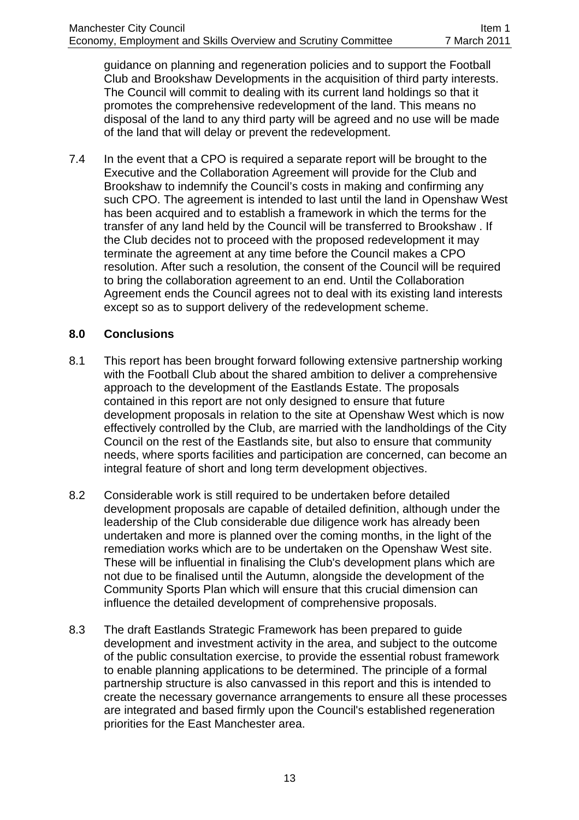guidance on planning and regeneration policies and to support the Football Club and Brookshaw Developments in the acquisition of third party interests. The Council will commit to dealing with its current land holdings so that it promotes the comprehensive redevelopment of the land. This means no disposal of the land to any third party will be agreed and no use will be made of the land that will delay or prevent the redevelopment.

7.4 In the event that a CPO is required a separate report will be brought to the Executive and the Collaboration Agreement will provide for the Club and Brookshaw to indemnify the Council's costs in making and confirming any such CPO. The agreement is intended to last until the land in Openshaw West has been acquired and to establish a framework in which the terms for the transfer of any land held by the Council will be transferred to Brookshaw . If the Club decides not to proceed with the proposed redevelopment it may terminate the agreement at any time before the Council makes a CPO resolution. After such a resolution, the consent of the Council will be required to bring the collaboration agreement to an end. Until the Collaboration Agreement ends the Council agrees not to deal with its existing land interests except so as to support delivery of the redevelopment scheme.

## **8.0 Conclusions**

- 8.1 This report has been brought forward following extensive partnership working with the Football Club about the shared ambition to deliver a comprehensive approach to the development of the Eastlands Estate. The proposals contained in this report are not only designed to ensure that future development proposals in relation to the site at Openshaw West which is now effectively controlled by the Club, are married with the landholdings of the City Council on the rest of the Eastlands site, but also to ensure that community needs, where sports facilities and participation are concerned, can become an integral feature of short and long term development objectives.
- 8.2 Considerable work is still required to be undertaken before detailed development proposals are capable of detailed definition, although under the leadership of the Club considerable due diligence work has already been undertaken and more is planned over the coming months, in the light of the remediation works which are to be undertaken on the Openshaw West site. These will be influential in finalising the Club's development plans which are not due to be finalised until the Autumn, alongside the development of the Community Sports Plan which will ensure that this crucial dimension can influence the detailed development of comprehensive proposals.
- 8.3 The draft Eastlands Strategic Framework has been prepared to guide development and investment activity in the area, and subject to the outcome of the public consultation exercise, to provide the essential robust framework to enable planning applications to be determined. The principle of a formal partnership structure is also canvassed in this report and this is intended to create the necessary governance arrangements to ensure all these processes are integrated and based firmly upon the Council's established regeneration priorities for the East Manchester area.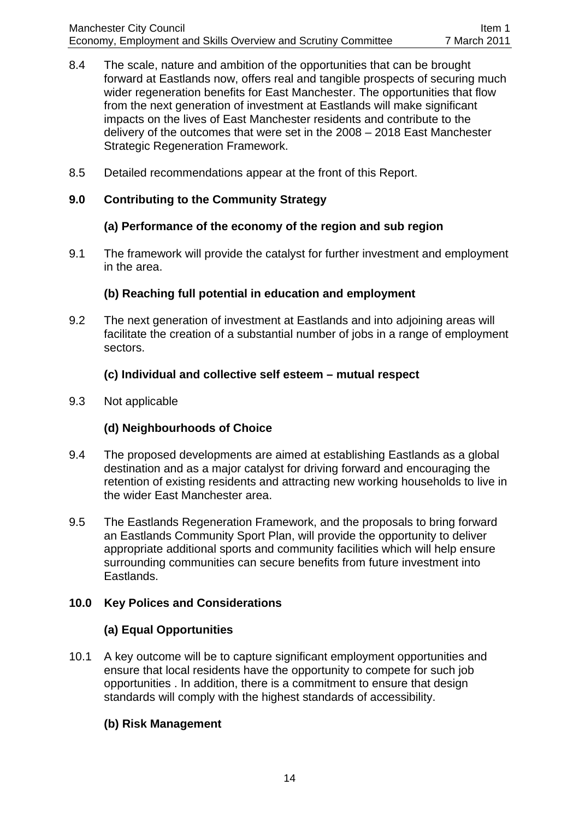- 8.4 The scale, nature and ambition of the opportunities that can be brought forward at Eastlands now, offers real and tangible prospects of securing much wider regeneration benefits for East Manchester. The opportunities that flow from the next generation of investment at Eastlands will make significant impacts on the lives of East Manchester residents and contribute to the delivery of the outcomes that were set in the 2008 – 2018 East Manchester Strategic Regeneration Framework.
- 8.5 Detailed recommendations appear at the front of this Report.

# **9.0 Contributing to the Community Strategy**

## **(a) Performance of the economy of the region and sub region**

9.1 The framework will provide the catalyst for further investment and employment in the area.

## **(b) Reaching full potential in education and employment**

9.2 The next generation of investment at Eastlands and into adjoining areas will facilitate the creation of a substantial number of jobs in a range of employment sectors.

## **(c) Individual and collective self esteem – mutual respect**

9.3 Not applicable

## **(d) Neighbourhoods of Choice**

- 9.4 The proposed developments are aimed at establishing Eastlands as a global destination and as a major catalyst for driving forward and encouraging the retention of existing residents and attracting new working households to live in the wider East Manchester area.
- 9.5 The Eastlands Regeneration Framework, and the proposals to bring forward an Eastlands Community Sport Plan, will provide the opportunity to deliver appropriate additional sports and community facilities which will help ensure surrounding communities can secure benefits from future investment into Eastlands.

## **10.0 Key Polices and Considerations**

# **(a) Equal Opportunities**

10.1 A key outcome will be to capture significant employment opportunities and ensure that local residents have the opportunity to compete for such job opportunities . In addition, there is a commitment to ensure that design standards will comply with the highest standards of accessibility.

# **(b) Risk Management**